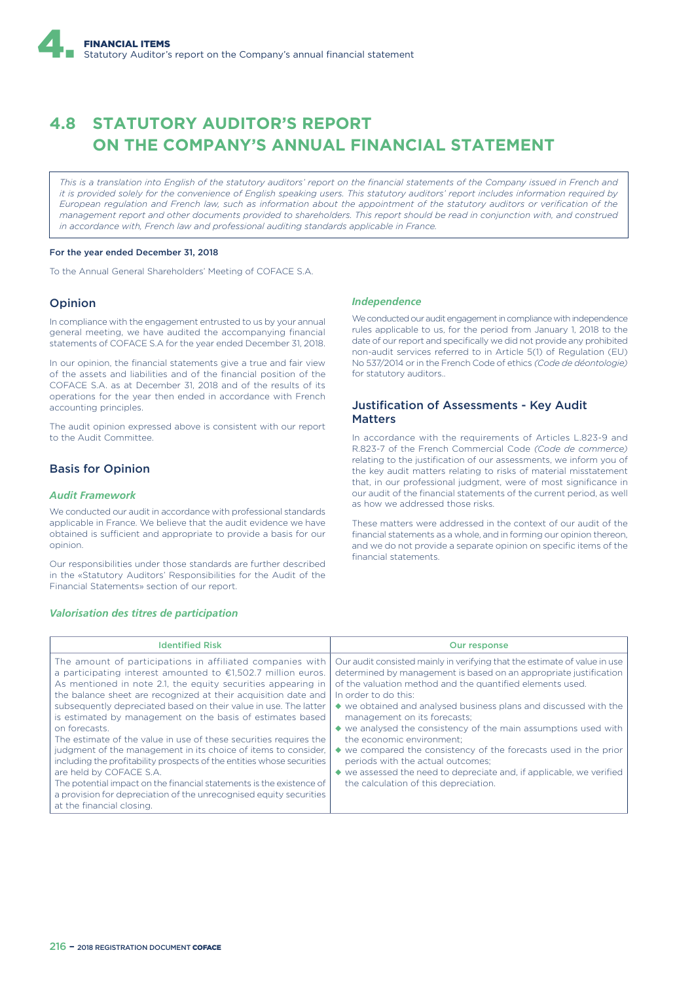# **4.8 STATUTORY AUDITOR'S REPORT ON THE COMPANY'S ANNUAL FINANCIAL STATEMENT**

*This is a translation into English of the statutory auditors' report on the financial statements of the Company issued in French and it is provided solely for the convenience of English speaking users. This statutory auditors' report includes information required by European regulation and French law, such as information about the appointment of the statutory auditors or verification of the management report and other documents provided to shareholders. This report should be read in conjunction with, and construed in accordance with, French law and professional auditing standards applicable in France.*

## For the year ended December 31, 2018

To the Annual General Shareholders' Meeting of COFACE S.A.

## Opinion

In compliance with the engagement entrusted to us by your annual general meeting, we have audited the accompanying financial statements of COFACE S.A for the year ended December 31, 2018.

In our opinion, the financial statements give a true and fair view of the assets and liabilities and of the financial position of the COFACE S.A. as at December 31, 2018 and of the results of its operations for the year then ended in accordance with French accounting principles.

The audit opinion expressed above is consistent with our report to the Audit Committee.

# Basis for Opinion

## *Audit Framework*

We conducted our audit in accordance with professional standards applicable in France. We believe that the audit evidence we have obtained is sufficient and appropriate to provide a basis for our opinion.

Our responsibilities under those standards are further described in the «Statutory Auditors' Responsibilities for the Audit of the Financial Statements» section of our report.

#### *Valorisation des titres de participation*

#### *Independence*

We conducted our audit engagement in compliance with independence rules applicable to us, for the period from January 1, 2018 to the date of our report and specifically we did not provide any prohibited non-audit services referred to in Article 5(1) of Regulation (EU) No 537/2014 or in the French Code of ethics *(Code de déontologie)* for statutory auditors..

## Justification of Assessments - Key Audit Matters

In accordance with the requirements of Articles L.823-9 and R.823-7 of the French Commercial Code *(Code de commerce)* relating to the justification of our assessments, we inform you of the key audit matters relating to risks of material misstatement that, in our professional judgment, were of most significance in our audit of the financial statements of the current period, as well as how we addressed those risks.

These matters were addressed in the context of our audit of the financial statements as a whole, and in forming our opinion thereon, and we do not provide a separate opinion on specific items of the financial statements.

| <b>Identified Risk</b>                                                                                                                                                                                                                                                                                                                                                                                                                                                                                                                                                                                                                                                                                                                                                                                                                  | Our response                                                                                                                                                                                                                                                                                                                                                                                                                                                                                                                                                                                                                                                                                    |
|-----------------------------------------------------------------------------------------------------------------------------------------------------------------------------------------------------------------------------------------------------------------------------------------------------------------------------------------------------------------------------------------------------------------------------------------------------------------------------------------------------------------------------------------------------------------------------------------------------------------------------------------------------------------------------------------------------------------------------------------------------------------------------------------------------------------------------------------|-------------------------------------------------------------------------------------------------------------------------------------------------------------------------------------------------------------------------------------------------------------------------------------------------------------------------------------------------------------------------------------------------------------------------------------------------------------------------------------------------------------------------------------------------------------------------------------------------------------------------------------------------------------------------------------------------|
| The amount of participations in affiliated companies with<br>a participating interest amounted to $£1,502.7$ million euros.<br>As mentioned in note 2.1, the equity securities appearing in<br>the balance sheet are recognized at their acquisition date and<br>subsequently depreciated based on their value in use. The latter<br>is estimated by management on the basis of estimates based<br>on forecasts.<br>The estimate of the value in use of these securities requires the<br>judgment of the management in its choice of items to consider.<br>including the profitability prospects of the entities whose securities<br>are held by COFACE S.A.<br>The potential impact on the financial statements is the existence of<br>a provision for depreciation of the unrecognised equity securities<br>at the financial closing. | Our audit consisted mainly in verifying that the estimate of value in use<br>determined by management is based on an appropriate justification<br>of the valuation method and the quantified elements used.<br>In order to do this:<br>$\blacklozenge$ we obtained and analysed business plans and discussed with the<br>management on its forecasts;<br>$\bullet$ we analysed the consistency of the main assumptions used with<br>the economic environment:<br>◆ we compared the consistency of the forecasts used in the prior<br>periods with the actual outcomes;<br>$\bullet$ we assessed the need to depreciate and, if applicable, we verified<br>the calculation of this depreciation. |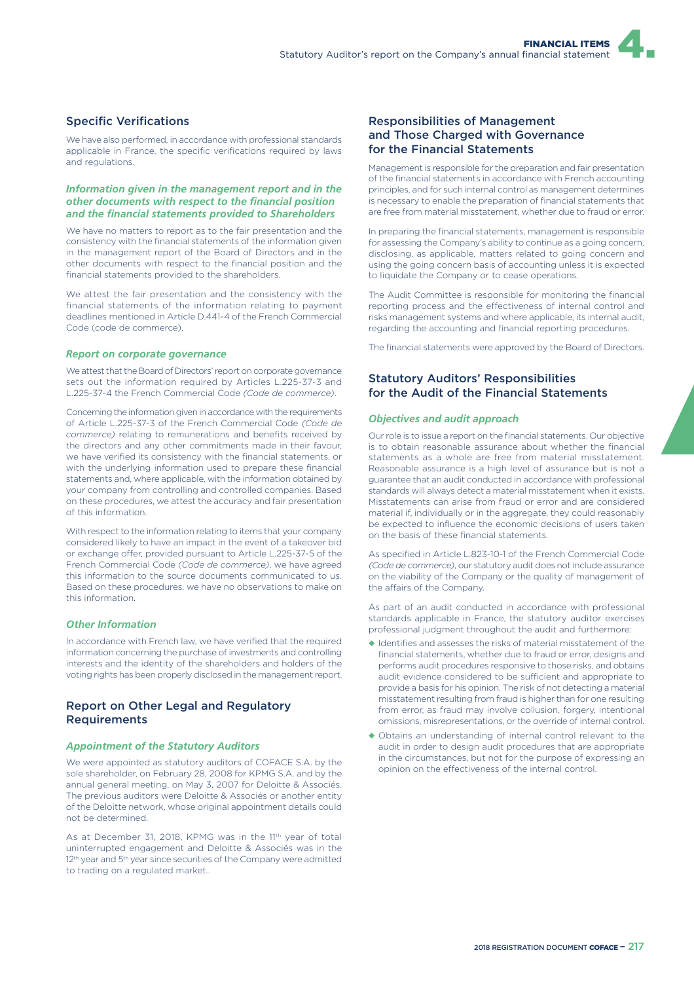# Specific Verifications

We have also performed, in accordance with professional standards applicable in France, the specific verifications required by laws and regulations.

## *Information given in the management report and in the other documents with respect to the financial position and the financial statements provided to Shareholders*

We have no matters to report as to the fair presentation and the consistency with the financial statements of the information given in the management report of the Board of Directors and in the other documents with respect to the financial position and the financial statements provided to the shareholders.

We attest the fair presentation and the consistency with the financial statements of the information relating to payment deadlines mentioned in Article D.441-4 of the French Commercial Code (code de commerce).

#### *Report on corporate governance*

We attest that the Board of Directors' report on corporate governance sets out the information required by Articles L.225-37-3 and L.225-37-4 the French Commercial Code *(Code de commerce)*.

Concerning the information given in accordance with the requirements of Article L.225-37-3 of the French Commercial Code *(Code de commerce)* relating to remunerations and benefits received by the directors and any other commitments made in their favour, we have verified its consistency with the financial statements, or with the underlying information used to prepare these financial statements and, where applicable, with the information obtained by your company from controlling and controlled companies. Based on these procedures, we attest the accuracy and fair presentation of this information.

With respect to the information relating to items that your company considered likely to have an impact in the event of a takeover bid or exchange offer, provided pursuant to Article L.225-37-5 of the French Commercial Code *(Code de commerce)*, we have agreed this information to the source documents communicated to us. Based on these procedures, we have no observations to make on this information.

## *Other Information*

In accordance with French law, we have verified that the required information concerning the purchase of investments and controlling interests and the identity of the shareholders and holders of the voting rights has been properly disclosed in the management report.

# Report on Other Legal and Regulatory Requirements

## *Appointment of the Statutory Auditors*

We were appointed as statutory auditors of COFACE S.A. by the sole shareholder, on February 28, 2008 for KPMG S.A. and by the annual general meeting, on May 3, 2007 for Deloitte & Associés. The previous auditors were Deloitte & Associés or another entity of the Deloitte network, whose original appointment details could not be determined.

As at December 31, 2018, KPMG was in the 11<sup>th</sup> year of total uninterrupted engagement and Deloitte & Associés was in the 12<sup>th</sup> year and 5<sup>th</sup> year since securities of the Company were admitted to trading on a regulated market..

# Responsibilities of Management and Those Charged with Governance for the Financial Statements

Management is responsible for the preparation and fair presentation of the financial statements in accordance with French accounting principles, and for such internal control as management determines is necessary to enable the preparation of financial statements that are free from material misstatement, whether due to fraud or error.

In preparing the financial statements, management is responsible for assessing the Company's ability to continue as a going concern, disclosing, as applicable, matters related to going concern and using the going concern basis of accounting unless it is expected to liquidate the Company or to cease operations.

The Audit Committee is responsible for monitoring the financial reporting process and the effectiveness of internal control and risks management systems and where applicable, its internal audit, regarding the accounting and financial reporting procedures.

The financial statements were approved by the Board of Directors.

# Statutory Auditors' Responsibilities for the Audit of the Financial Statements

#### *Objectives and audit approach*

Our role is to issue a report on the financial statements. Our objective is to obtain reasonable assurance about whether the financial statements as a whole are free from material misstatement. Reasonable assurance is a high level of assurance but is not a guarantee that an audit conducted in accordance with professional standards will always detect a material misstatement when it exists. Misstatements can arise from fraud or error and are considered material if, individually or in the aggregate, they could reasonably be expected to influence the economic decisions of users taken on the basis of these financial statements.

As specified in Article L.823-10-1 of the French Commercial Code *(Code de commerce)*, our statutory audit does not include assurance on the viability of the Company or the quality of management of the affairs of the Company.

As part of an audit conducted in accordance with professional standards applicable in France, the statutory auditor exercises professional judgment throughout the audit and furthermore:

- ◆ Identifies and assesses the risks of material misstatement of the financial statements, whether due to fraud or error, designs and performs audit procedures responsive to those risks, and obtains audit evidence considered to be sufficient and appropriate to provide a basis for his opinion. The risk of not detecting a material misstatement resulting from fraud is higher than for one resulting from error, as fraud may involve collusion, forgery, intentional omissions, misrepresentations, or the override of internal control.
- ◆ Obtains an understanding of internal control relevant to the audit in order to design audit procedures that are appropriate in the circumstances, but not for the purpose of expressing an opinion on the effectiveness of the internal control.